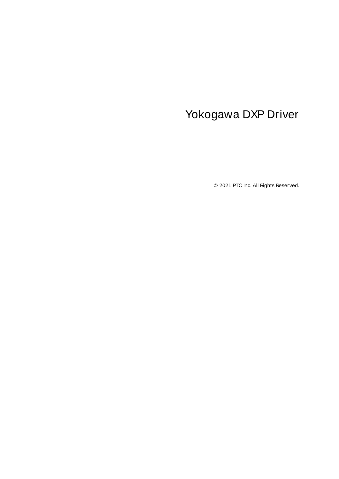# <span id="page-0-0"></span>Yokogawa DXP Driver

© 2021 PTC Inc. All Rights Reserved.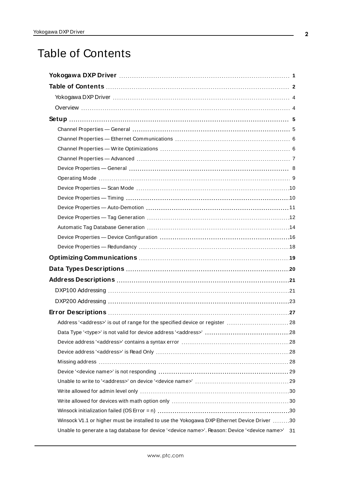# <span id="page-1-0"></span>Table of Contents

| Address' <address>' is out of range for the specified device or register  28</address>                                       |
|------------------------------------------------------------------------------------------------------------------------------|
|                                                                                                                              |
|                                                                                                                              |
|                                                                                                                              |
|                                                                                                                              |
|                                                                                                                              |
|                                                                                                                              |
|                                                                                                                              |
|                                                                                                                              |
|                                                                                                                              |
| Winsock V1.1 or higher must be installed to use the Yokogawa DXP Ethernet Device Driver 30                                   |
| Unable to generate a tag database for device ' <device name="">'. Reason: Device '<device name="">'<br/>31</device></device> |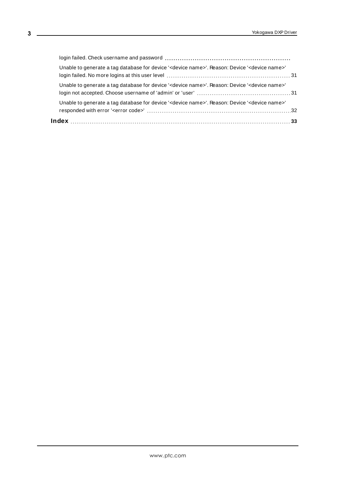| Unable to generate a tag database for device ' <device name="">'. Reason: Device '<device name="">'</device></device> |  |
|-----------------------------------------------------------------------------------------------------------------------|--|
| Unable to generate a tag database for device ' <device name="">'. Reason: Device '<device name="">'</device></device> |  |
| Unable to generate a tag database for device ' <device name="">'. Reason: Device '<device name="">'</device></device> |  |
|                                                                                                                       |  |

<u> 1980 - Johann Barbara, martxa a</u>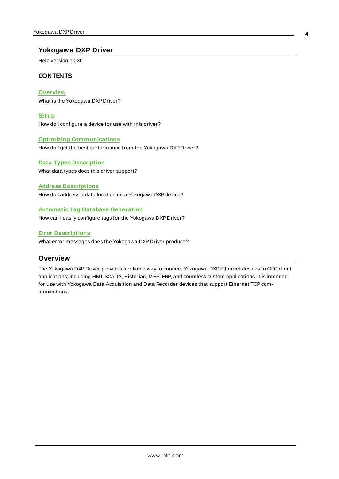# <span id="page-3-0"></span>**Yokogawa DXP Driver**

Help version 1.030

## **CONTENTS**

**[Overview](#page-3-1)** What is the Yokogawa DXP Driver?

**[Setup](#page-4-0)** How do I configure a device for use with this driver?

#### **Optimizing [Communications](#page-18-0)**

How do I get the best performance from the Yokogawa DXP Driver?

**Data Types [Description](#page-19-0)** What data types does this driver support?

#### **Address [Descriptions](#page-20-0)**

How do I address a data location on a Yokogawa DXP device?

#### **Automatic Tag Database [Generation](#page-13-0)**

How can I easily configure tags for the Yokogawa DXP Driver?

#### **Error [Descriptions](#page-26-0)**

<span id="page-3-1"></span>What error messages does the Yokogawa DXP Driver produce?

#### **Overview**

The Yokogawa DXP Driver provides a reliable way to connect Yokogawa DXPEthernet devices to OPC client applications; including HMI, SCADA, Historian, MES, ERP, and countless custom applications. It is intended for use with Yokogawa Data Acquisition and Data Recorder devices that support Ethernet TCP communications.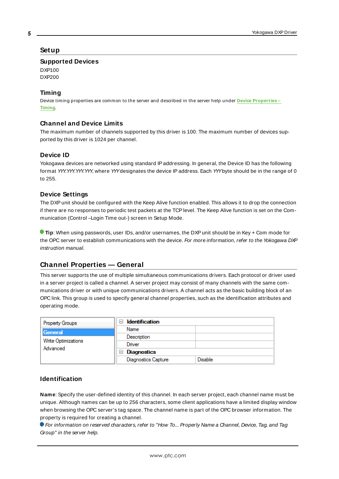## <span id="page-4-0"></span>**Setup**

#### **Supported Devices**

DXP100 DXP200

# **Timing**

Device timing properties are common to the server and described in the server help under **Device [Properties](#page-9-1) – [Timing](#page-9-1)**.

# **Channel and Device Limits**

The maximum number of channels supported by this driver is 100. The maximum number of devices supported by this driver is 1024 per channel.

# <span id="page-4-2"></span>**Device ID**

Yokogawa devices are networked using standard IPaddressing. In general, the Device ID has the following format YYY.YYY.YYY.YYY, where YYYdesignates the device IPaddress. Each YYYbyte should be in the range of 0 to 255.

# **Device Settings**

The DXP unit should be configured with the Keep Alive function enabled. This allows it to drop the connection if there are no responses to periodic test packets at the TCPlevel. The Keep Alive function is set on the Communication (Control –Login Time out-) screen in Setup Mode.

**Tip**: When using passwords, user IDs, and/or usernames, the DXPunit should be in Key + Com mode for the OPC server to establish communications with the device. For more information, refer to the Yokogawa DXP instruction manual.

# <span id="page-4-1"></span>**Channel Properties — General**

This server supports the use of multiple simultaneous communications drivers. Each protocol or driver used in a server project is called a channel. A server project may consist of many channels with the same communications driver or with unique communications drivers. A channel acts as the basic building block of an OPC link. This group is used to specify general channel properties, such as the identification attributes and operating mode.

| <b>Property Groups</b> | $\Box$ Identification      |                |
|------------------------|----------------------------|----------------|
| <b>General</b>         | Name                       |                |
|                        | Description                |                |
| Write Optimizations    | Driver                     |                |
| Advanced               | $\Box$ Diagnostics         |                |
|                        | <b>Diagnostics Capture</b> | <b>Disable</b> |

# **Identification**

**Name**: Specify the user-defined identity of this channel. In each server project, each channel name must be unique. Although names can be up to 256 characters, some client applications have a limited display window when browsing the OPC server's tag space. The channel name is part of the OPC browser information. The property is required for creating a channel.

For information on reserved characters, refer to "How To... Properly Name a Channel, Device, Tag, and Tag Group" in the server help.

**5**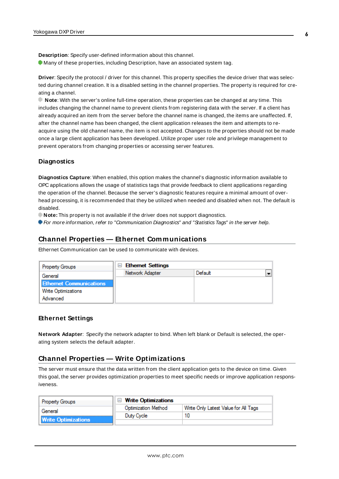**Description**: Specify user-defined information about this channel. **Many of these properties, including Description, have an associated system tag.** 

**Driver**: Specify the protocol / driver for this channel. This property specifies the device driver that was selected during channel creation. It is a disabled setting in the channel properties. The property is required for creating a channel.

**Note**: With the server's online full-time operation, these properties can be changed at any time. This includes changing the channel name to prevent clients from registering data with the server. If a client has already acquired an item from the server before the channel name is changed, the items are unaffected. If, after the channel name has been changed, the client application releases the item and attempts to reacquire using the old channel name, the item is not accepted. Changes to the properties should not be made once a large client application has been developed. Utilize proper user role and privilege management to prevent operators from changing properties or accessing server features.

#### **Diagnostics**

**Diagnostics Capture**: When enabled, this option makes the channel's diagnostic information available to OPC applications allows the usage of statistics tags that provide feedback to client applications regarding the operation of the channel. Because the server's diagnostic features require a minimal amount of overhead processing, it is recommended that they be utilized when needed and disabled when not. The default is disabled.

**Note:** This property is not available if the driver does not support diagnostics.

<span id="page-5-0"></span>For more information, refer to "Communication Diagnostics" and "Statistics Tags" in the server help.

## **Channel Properties — Ethernet Communications**

Ethernet Communication can be used to communicate with devices.

| <b>Property Groups</b>         | $\Box$ Ethernet Settings |         |   |
|--------------------------------|--------------------------|---------|---|
| General                        | Network Adapter          | Default | ÷ |
| <b>Ethernet Communications</b> |                          |         |   |
| <b>Write Optimizations</b>     |                          |         |   |
| Advanced                       |                          |         |   |

#### **Ethernet Settings**

**Network Adapter**: Specify the network adapter to bind. When left blank or Default is selected, the operating system selects the default adapter.

# <span id="page-5-1"></span>**Channel Properties — Write Optimizations**

The server must ensure that the data written from the client application gets to the device on time. Given this goal, the server provides optimization properties to meet specific needs or improve application responsiveness.

| <b>Property Groups</b>     | □ Write Optimizations      |                                      |
|----------------------------|----------------------------|--------------------------------------|
| General                    | <b>Optimization Method</b> | Write Only Latest Value for All Tags |
|                            | Duty Cycle                 |                                      |
| <b>Write Optimizations</b> |                            |                                      |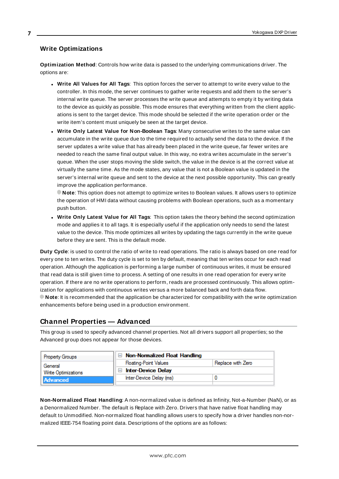# **Write Optimizations**

**Optimization Method**: Controls how write data is passed to the underlying communications driver. The options are:

- <sup>l</sup> **Write All Values for All Tags**: This option forces the server to attempt to write every value to the controller. In this mode, the server continues to gather write requests and add them to the server's internal write queue. The server processes the write queue and attempts to empty it by writing data to the device as quickly as possible. This mode ensures that everything written from the client applications is sent to the target device. This mode should be selected if the write operation order or the write item's content must uniquely be seen at the target device.
- <sup>l</sup> **Write Only Latest Value for Non-Boolean Tags**: Many consecutive writes to the same value can accumulate in the write queue due to the time required to actually send the data to the device. If the server updates a write value that has already been placed in the write queue, far fewer writes are needed to reach the same final output value. In this way, no extra writes accumulate in the server's queue. When the user stops moving the slide switch, the value in the device is at the correct value at virtually the same time. As the mode states, any value that is not a Boolean value is updated in the server's internal write queue and sent to the device at the next possible opportunity. This can greatly improve the application performance.

**Note**: This option does not attempt to optimize writes to Boolean values. It allows users to optimize the operation of HMI data without causing problems with Boolean operations, such as a momentary push button.

<sup>l</sup> **Write Only Latest Value for All Tags**: This option takes the theory behind the second optimization mode and applies it to all tags. It is especially useful if the application only needs to send the latest value to the device. This mode optimizes all writes by updating the tags currently in the write queue before they are sent. This is the default mode.

**Duty Cycle**: is used to control the ratio of write to read operations. The ratio is always based on one read for every one to ten writes. The duty cycle is set to ten by default, meaning that ten writes occur for each read operation. Although the application is performing a large number of continuous writes, it must be ensured that read data is still given time to process. A setting of one results in one read operation for every write operation. If there are no write operations to perform, reads are processed continuously. This allows optimization for applications with continuous writes versus a more balanced back and forth data flow. **Note**: It is recommended that the application be characterized for compatibility with the write optimization enhancements before being used in a production environment.

# <span id="page-6-0"></span>**Channel Properties — Advanced**

This group is used to specify advanced channel properties. Not all drivers support all properties; so the Advanced group does not appear for those devices.

| <b>Property Groups</b>                 | $\Box$ Non-Normalized Float Handling |                   |
|----------------------------------------|--------------------------------------|-------------------|
| General                                | <b>Floating-Point Values</b>         | Replace with Zero |
| Write Optimizations<br><b>Advanced</b> | <b>Inter-Device Delay</b>            |                   |
|                                        | Inter-Device Delay (ms)              |                   |
|                                        |                                      |                   |

**Non-Normalized Float Handling**: A non-normalized value is defined as Infinity, Not-a-Number (NaN), or as a Denormalized Number. The default is Replace with Zero. Drivers that have native float handling may default to Unmodified. Non-normalized float handling allows users to specify how a driver handles non-normalized IEEE-754 floating point data. Descriptions of the options are as follows: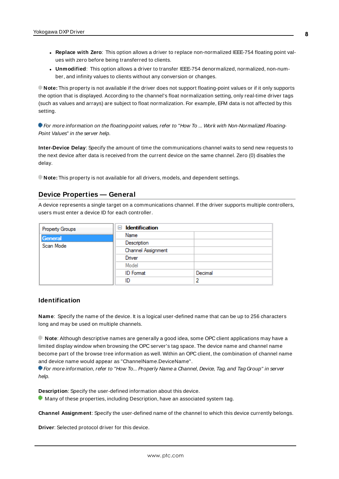- <sup>l</sup> **Replace with Zero**: This option allows a driver to replace non-normalized IEEE-754 floating point values with zero before being transferred to clients.
- <sup>l</sup> **Unmodified**: This option allows a driver to transfer IEEE-754 denormalized, normalized, non-number, and infinity values to clients without any conversion or changes.

**Note:** This property is not available if the driver does not support floating-point values or if it only supports the option that is displayed. According to the channel's float normalization setting, only real-time driver tags (such as values and arrays) are subject to float normalization. For example, EFM data is not affected by this setting.

For more information on the floating-point values, refer to "How To ... Work with Non-Normalized Floating-Point Values" in the server help.

**Inter-Device Delay**: Specify the amount of time the communications channel waits to send new requests to the next device after data is received from the current device on the same channel. Zero (0) disables the delay.

<span id="page-7-0"></span>**Note:** This property is not available for all drivers, models, and dependent settings.

#### **Device Properties — General**

A device represents a single target on a communications channel. If the driver supports multiple controllers, users must enter a device ID for each controller.

| Property Groups | <b>Identification</b><br>$=$ |         |
|-----------------|------------------------------|---------|
| General         | Name                         |         |
| Scan Mode       | Description                  |         |
|                 | Channel Assignment           |         |
|                 | Driver                       |         |
|                 | Model                        |         |
|                 | <b>ID</b> Format             | Decimal |
|                 | ID                           | 2       |

#### <span id="page-7-3"></span>**Identification**

**Name**: Specify the name of the device. It is a logical user-defined name that can be up to 256 characters long and may be used on multiple channels.

**Note**: Although descriptive names are generally a good idea, some OPC client applications may have a limited display window when browsing the OPC server's tag space. The device name and channel name become part of the browse tree information as well. Within an OPC client, the combination of channel name and device name would appear as "ChannelName.DeviceName".

For more information, refer to "How To... Properly Name a Channel, Device, Tag, and Tag Group" in server help.

**Description**: Specify the user-defined information about this device.

<span id="page-7-1"></span>**Many of these properties, including Description, have an associated system tag.** 

<span id="page-7-2"></span>**Channel Assignment**: Specify the user-defined name of the channel to which this device currently belongs.

**Driver**: Selected protocol driver for this device.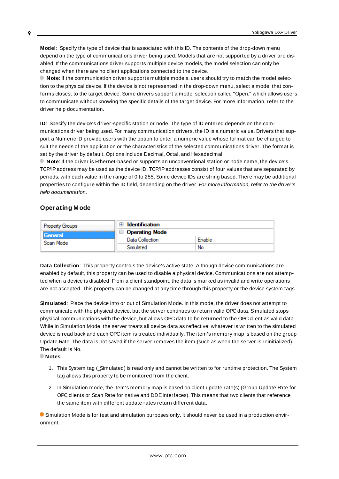<span id="page-8-3"></span>**Model**: Specify the type of device that is associated with this ID. The contents of the drop-down menu depend on the type of communications driver being used. Models that are not supported by a driver are disabled. If the communications driver supports multiple device models, the model selection can only be changed when there are no client applications connected to the device.

**Note:** If the communication driver supports multiple models, users should try to match the model selection to the physical device. If the device is not represented in the drop-down menu, select a model that conforms closest to the target device. Some drivers support a model selection called "Open," which allows users to communicate without knowing the specific details of the target device. For more information, refer to the driver help documentation.

<span id="page-8-2"></span>**ID**: Specify the device's driver-specific station or node. The type of ID entered depends on the communications driver being used. For many communication drivers, the ID is a numeric value. Drivers that support a Numeric ID provide users with the option to enter a numeric value whose format can be changed to suit the needs of the application or the characteristics of the selected communications driver. The format is set by the driver by default. Options include Decimal, Octal, and Hexadecimal.

**Note**: If the driver is Ethernet-based or supports an unconventional station or node name, the device's TCP/IPaddress may be used as the device ID. TCP/IPaddresses consist of four values that are separated by periods, with each value in the range of 0 to 255. Some device IDs are string based. There may be additional properties to configure within the ID field, depending on the driver. For more information, refer to the driver's help documentation.

# <span id="page-8-0"></span>**Operating Mode**

| <b>Property Groups</b> | <b>Identification</b>            |        |
|------------------------|----------------------------------|--------|
| General                | Operating Mode<br>$\overline{ }$ |        |
| Scan Mode              | Data Collection                  | Enable |
|                        | Simulated                        | No     |

<span id="page-8-1"></span>**Data Collection**: This property controls the device's active state. Although device communications are enabled by default, this property can be used to disable a physical device. Communications are not attempted when a device is disabled. From a client standpoint, the data is marked as invalid and write operations are not accepted. This property can be changed at any time through this property or the device system tags.

<span id="page-8-4"></span>**Simulated**: Place the device into or out of Simulation Mode. In this mode, the driver does not attempt to communicate with the physical device, but the server continues to return valid OPC data. Simulated stops physical communications with the device, but allows OPC data to be returned to the OPC client as valid data. While in Simulation Mode, the server treats all device data as reflective: whatever is written to the simulated device is read back and each OPC item is treated individually. The item's memory map is based on the group Update Rate. The data is not saved if the server removes the item (such as when the server is reinitialized). The default is No.

**Notes:**

- 1. This System tag (\_Simulated) is read only and cannot be written to for runtime protection. The System tag allows this property to be monitored from the client.
- 2. In Simulation mode, the item's memory map is based on client update rate(s) (Group Update Rate for OPC clients or Scan Rate for native and DDEinterfaces). This means that two clients that reference the same item with different update rates return different data.

 Simulation Mode is for test and simulation purposes only. It should never be used in a production environment.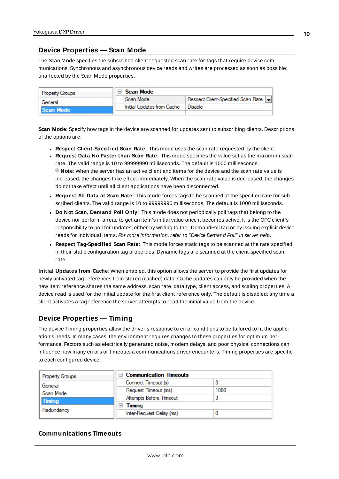# <span id="page-9-0"></span>**Device Properties — Scan Mode**

The Scan Mode specifies the subscribed-client requested scan rate for tags that require device communications. Synchronous and asynchronous device reads and writes are processed as soon as possible; unaffected by the Scan Mode properties.

| <b>Property Groups</b> |  | Scan Mode                  |                                    |
|------------------------|--|----------------------------|------------------------------------|
| General                |  | Scan Mode                  | Respect Client-Specified Scan Rate |
| Scan Mode              |  | Initial Updates from Cache | Disable                            |
|                        |  |                            |                                    |

<span id="page-9-6"></span>**Scan Mode**: Specify how tags in the device are scanned for updates sent to subscribing clients. Descriptions of the options are:

- <sup>l</sup> **Respect Client-Specified Scan Rate**: This mode uses the scan rate requested by the client.
- <sup>l</sup> **Request Data No Faster than Scan Rate**: This mode specifies the value set as the maximum scan rate. The valid range is 10 to 99999990 milliseconds. The default is 1000 milliseconds. **Note**: When the server has an active client and items for the device and the scan rate value is increased, the changes take effect immediately. When the scan rate value is decreased, the changes do not take effect until all client applications have been disconnected.
- <sup>l</sup> **Request All Data at Scan Rate**: This mode forces tags to be scanned at the specified rate for subscribed clients. The valid range is 10 to 99999990 milliseconds. The default is 1000 milliseconds.
- <span id="page-9-3"></span><sup>l</sup> **Do Not Scan, Demand Poll Only**: This mode does not periodically poll tags that belong to the device nor perform a read to get an item's initial value once it becomes active. It is the OPC client's responsibility to poll for updates, either by writing to the \_DemandPoll tag or by issuing explicit device reads for individual items. For more information, refer to "Device Demand Poll" in server help.
- <span id="page-9-5"></span><sup>l</sup> **Respect Tag-Specified Scan Rate**: This mode forces static tags to be scanned at the rate specified in their static configuration tag properties. Dynamic tags are scanned at the client-specified scan rate.

<span id="page-9-4"></span>**Initial Updates from Cache**: When enabled, this option allows the server to provide the first updates for newly activated tag references from stored (cached) data. Cache updates can only be provided when the new item reference shares the same address, scan rate, data type, client access, and scaling properties. A device read is used for the initial update for the first client reference only. The default is disabled; any time a client activates a tag reference the server attempts to read the initial value from the device.

# <span id="page-9-2"></span><span id="page-9-1"></span>**Device Properties — Timing**

The device Timing properties allow the driver's response to error conditions to be tailored to fit the application's needs. In many cases, the environment requires changes to these properties for optimum performance. Factors such as electrically generated noise, modem delays, and poor physical connections can influence how many errors or timeouts a communications driver encounters. Timing properties are specific to each configured device.

| <b>Property Groups</b> | $\Box$ Communication Timeouts      |      |
|------------------------|------------------------------------|------|
| General<br>Scan Mode   | Connect Timeout (s)                |      |
|                        | Request Timeout (ms)               | 1000 |
| <b>Timing</b>          | Attempts Before Timeout            |      |
| Redundancy             | Timina<br>$\overline{\phantom{a}}$ |      |
|                        | Inter-Request Delay (ms)           |      |

# **Communications Timeouts**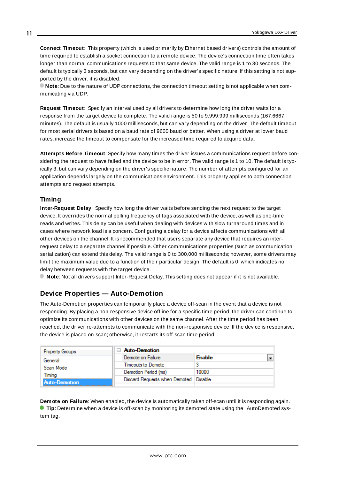<span id="page-10-2"></span>**Connect Timeout**: This property (which is used primarily by Ethernet based drivers) controls the amount of time required to establish a socket connection to a remote device. The device's connection time often takes longer than normal communications requests to that same device. The valid range is 1 to 30 seconds. The default is typically 3 seconds, but can vary depending on the driver's specific nature. If this setting is not supported by the driver, it is disabled.

**Note**: Due to the nature of UDPconnections, the connection timeout setting is not applicable when communicating via UDP.

<span id="page-10-5"></span>**Request Timeout**: Specify an interval used by all drivers to determine how long the driver waits for a response from the target device to complete. The valid range is 50 to 9,999,999 milliseconds (167.6667 minutes). The default is usually 1000 milliseconds, but can vary depending on the driver. The default timeout for most serial drivers is based on a baud rate of 9600 baud or better. When using a driver at lower baud rates, increase the timeout to compensate for the increased time required to acquire data.

<span id="page-10-1"></span>**Attempts Before Timeout**: Specify how many times the driver issues a communications request before considering the request to have failed and the device to be in error. The valid range is 1 to 10. The default is typically 3, but can vary depending on the driver's specific nature. The number of attempts configured for an application depends largely on the communications environment. This property applies to both connection attempts and request attempts.

# <span id="page-10-4"></span>**Timing**

**Inter-Request Delay**: Specify how long the driver waits before sending the next request to the target device. It overrides the normal polling frequency of tags associated with the device, as well as one-time reads and writes. This delay can be useful when dealing with devices with slow turnaround times and in cases where network load is a concern. Configuring a delay for a device affects communications with all other devices on the channel. It is recommended that users separate any device that requires an interrequest delay to a separate channel if possible. Other communications properties (such as communication serialization) can extend this delay. The valid range is 0 to 300,000 milliseconds; however, some drivers may limit the maximum value due to a function of their particular design. The default is 0, which indicates no delay between requests with the target device.

<span id="page-10-0"></span>**Note**: Not all drivers support Inter-Request Delay. This setting does not appear if it is not available.

# **Device Properties — Auto-Demotion**

The Auto-Demotion properties can temporarily place a device off-scan in the event that a device is not responding. By placing a non-responsive device offline for a specific time period, the driver can continue to optimize its communications with other devices on the same channel. After the time period has been reached, the driver re-attempts to communicate with the non-responsive device. If the device is responsive, the device is placed on-scan; otherwise, it restarts its off-scan time period.

| <b>Property Groups</b> | <b>Auto-Demotion</b>                    |                                           |
|------------------------|-----------------------------------------|-------------------------------------------|
| General                | Demote on Failure                       | $\overline{\phantom{a}}$<br><b>Enable</b> |
| Scan Mode              | Timeouts to Demote                      | 3                                         |
| Timina                 | Demotion Period (ms)                    | 10000                                     |
| <b>Auto-Demotion</b>   | Discard Requests when Demoted   Disable |                                           |
|                        |                                         |                                           |

<span id="page-10-3"></span>**Demote on Failure**: When enabled, the device is automatically taken off-scan until it is responding again. **Tip**: Determine when a device is off-scan by monitoring its demoted state using the AutoDemoted system tag.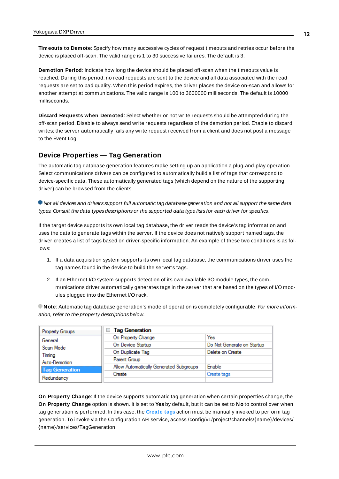<span id="page-11-4"></span>**Timeouts to Demote**: Specify how many successive cycles of request timeouts and retries occur before the device is placed off-scan. The valid range is 1 to 30 successive failures. The default is 3.

<span id="page-11-1"></span>**Demotion Period**: Indicate how long the device should be placed off-scan when the timeouts value is reached. During this period, no read requests are sent to the device and all data associated with the read requests are set to bad quality. When this period expires, the driver places the device on-scan and allows for another attempt at communications. The valid range is 100 to 3600000 milliseconds. The default is 10000 milliseconds.

<span id="page-11-2"></span>**Discard Requests when Demoted**: Select whether or not write requests should be attempted during the off-scan period. Disable to always send write requests regardless of the demotion period. Enable to discard writes; the server automatically fails any write request received from a client and does not post a message to the Event Log.

# <span id="page-11-0"></span>**Device Properties — Tag Generation**

The automatic tag database generation features make setting up an application a plug-and-play operation. Select communications drivers can be configured to automatically build a list of tags that correspond to device-specific data. These automatically generated tags (which depend on the nature of the supporting driver) can be browsed from the clients.

Not all devices and drivers support full automatic tag database generation and not all support the same data types. Consult the data types descriptions or the supported data type lists for each driver for specifics.

If the target device supports its own local tag database, the driver reads the device's tag information and uses the data to generate tags within the server. If the device does not natively support named tags, the driver creates a list of tags based on driver-specific information. An example of these two conditions is as follows:

- 1. If a data acquisition system supports its own local tag database, the communications driver uses the tag names found in the device to build the server's tags.
- 2. If an Ethernet I/O system supports detection of its own available I/O module types, the communications driver automatically generates tags in the server that are based on the types of I/O modules plugged into the Ethernet I/O rack.

**Note**: Automatic tag database generation's mode of operation is completely configurable. For more information, refer to the property descriptions below.

| Property Groups       | <b>Tag Generation</b><br>ь              |                            |
|-----------------------|-----------------------------------------|----------------------------|
| General               | On Property Change                      | Yes                        |
| Scan Mode             | On Device Startup                       | Do Not Generate on Startup |
| Timina                | On Duplicate Tag                        | Delete on Create           |
| Auto-Demotion         | Parent Group                            |                            |
| <b>Tag Generation</b> | Allow Automatically Generated Subgroups | <b>Enable</b>              |
|                       | Create                                  | Create tags                |
| Redundancy            |                                         |                            |

<span id="page-11-3"></span>**On Property Change**: If the device supports automatic tag generation when certain properties change, the **On Property Change** option is shown. It is set to **Yes** by default, but it can be set to **No** to control over when tag generation is performed. In this case, the **Create tags** action must be manually invoked to perform tag generation. To invoke via the Configuration API service, access /config/v1/project/channels/{name}/devices/ {name}/services/TagGeneration.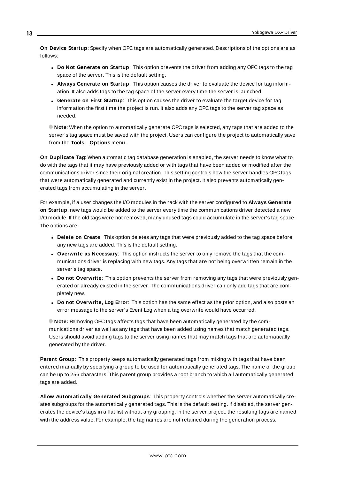<span id="page-12-3"></span>**On Device Startup**: Specify when OPC tags are automatically generated. Descriptions of the options are as follows:

- <span id="page-12-2"></span><sup>l</sup> **Do Not Generate on Startup**: This option prevents the driver from adding any OPC tags to the tag space of the server. This is the default setting.
- <sup>l</sup> **Always Generate on Startup**: This option causes the driver to evaluate the device for tag information. It also adds tags to the tag space of the server every time the server is launched.
- <sup>l</sup> **Generate on First Startup**: This option causes the driver to evaluate the target device for tag information the first time the project is run. It also adds any OPC tags to the server tag space as needed.

**Note**: When the option to automatically generate OPC tags is selected, any tags that are added to the server's tag space must be saved with the project. Users can configure the project to automatically save from the **Tools** | **Options** menu.

<span id="page-12-4"></span>**On Duplicate Tag**: When automatic tag database generation is enabled, the server needs to know what to do with the tags that it may have previously added or with tags that have been added or modified after the communications driver since their original creation. This setting controls how the server handles OPC tags that were automatically generated and currently exist in the project. It also prevents automatically generated tags from accumulating in the server.

For example, if a user changes the I/O modules in the rack with the server configured to **Always Generate on Startup**, new tags would be added to the server every time the communications driver detected a new I/O module. If the old tags were not removed, many unused tags could accumulate in the server's tag space. The options are:

- <span id="page-12-5"></span><span id="page-12-1"></span>**• Delete on Create**: This option deletes any tags that were previously added to the tag space before any new tags are added. This is the default setting.
- <sup>l</sup> **Overwrite as Necessary**: This option instructs the server to only remove the tags that the communications driver is replacing with new tags. Any tags that are not being overwritten remain in the server's tag space.
- **.** Do not Overwrite: This option prevents the server from removing any tags that were previously generated or already existed in the server. The communications driver can only add tags that are completely new.
- <sup>l</sup> **Do not Overwrite, Log Error**: This option has the same effect as the prior option, and also posts an error message to the server's Event Log when a tag overwrite would have occurred.

**Note:** Removing OPC tags affects tags that have been automatically generated by the communications driver as well as any tags that have been added using names that match generated tags. Users should avoid adding tags to the server using names that may match tags that are automatically generated by the driver.

<span id="page-12-6"></span>**Parent Group**: This property keeps automatically generated tags from mixing with tags that have been entered manually by specifying a group to be used for automatically generated tags. The name of the group can be up to 256 characters. This parent group provides a root branch to which all automatically generated tags are added.

<span id="page-12-0"></span>**Allow Automatically Generated Subgroups**: This property controls whether the server automatically creates subgroups for the automatically generated tags. This is the default setting. If disabled, the server generates the device's tags in a flat list without any grouping. In the server project, the resulting tags are named with the address value. For example, the tag names are not retained during the generation process.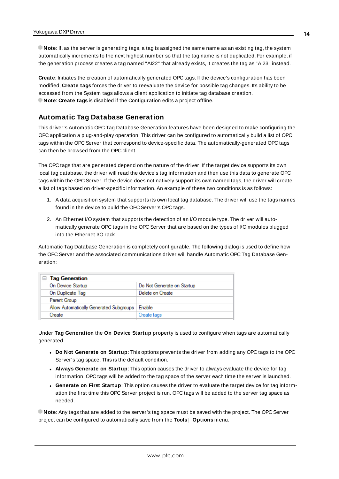**Note**: If, as the server is generating tags, a tag is assigned the same name as an existing tag, the system automatically increments to the next highest number so that the tag name is not duplicated. For example, if the generation process creates a tag named "AI22" that already exists, it creates the tag as "AI23" instead.

<span id="page-13-1"></span>**Create**: Initiates the creation of automatically generated OPC tags. If the device's configuration has been modified, **Create tags** forces the driver to reevaluate the device for possible tag changes. Its ability to be accessed from the System tags allows a client application to initiate tag database creation. **Note**: **Create tags** is disabled if the Configuration edits a project offline.

# <span id="page-13-0"></span>**Automatic Tag Database Generation**

This driver's Automatic OPC Tag Database Generation features have been designed to make configuring the OPC application a plug-and-play operation. This driver can be configured to automatically build a list of OPC tags within the OPC Server that correspond to device-specific data. The automatically-generated OPC tags can then be browsed from the OPC client.

The OPC tags that are generated depend on the nature of the driver. If the target device supports its own local tag database, the driver will read the device's tag information and then use this data to generate OPC tags within the OPC Server. If the device does not natively support its own named tags, the driver will create a list of tags based on driver-specific information. An example of these two conditions is as follows:

- 1. A data acquisition system that supports its own local tag database. The driver will use the tags names found in the device to build the OPC Server's OPC tags.
- 2. An Ethernet I/O system that supports the detection of an I/O module type. The driver will automatically generate OPC tags in the OPC Server that are based on the types of I/O modules plugged into the Ethernet I/O rack.

Automatic Tag Database Generation is completely configurable. The following dialog is used to define how the OPC Server and the associated communications driver will handle Automatic OPC Tag Database Generation:

| □ Tag Generation                        |                            |
|-----------------------------------------|----------------------------|
| On Device Startup                       | Do Not Generate on Startup |
| On Duplicate Tag                        | Delete on Create           |
| Parent Group                            |                            |
| Allow Automatically Generated Subgroups | Enable                     |
| Create                                  | Create tags                |

Under **Tag Generation** the **On Device Startup** property is used to configure when tags are automatically generated.

- <sup>l</sup> **Do Not Generate on Startup**: This options prevents the driver from adding any OPC tags to the OPC Server's tag space. This is the default condition.
- <sup>l</sup> **Always Generate on Startup**: This option causes the driver to always evaluate the device for tag information. OPC tags will be added to the tag space of the server each time the server is launched.
- <sup>l</sup> **Generate on First Startup**: This option causes the driver to evaluate the target device for tag information the first time this OPC Server project is run. OPC tags will be added to the server tag space as needed.

**Note**: Any tags that are added to the server's tag space must be saved with the project. The OPC Server project can be configured to automatically save from the **Tools** | **Options** menu.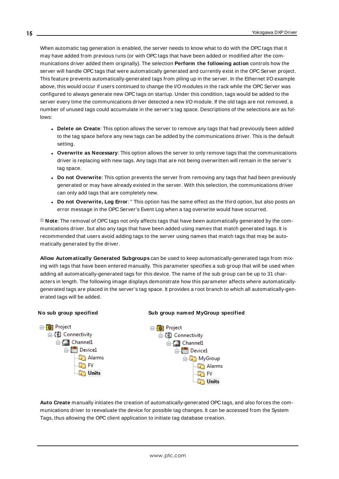When automatic tag generation is enabled, the server needs to know what to do with the OPC tags that it may have added from previous runs (or with OPC tags that have been added or modified after the communications driver added them originally). The selection **Perform the following action** controls how the server will handle OPC tags that were automatically generated and currently exist in the OPC Server project. This feature prevents automatically-generated tags from piling up in the server. In the Ethernet I/O example above, this would occur if users continued to change the I/O modules in the rack while the OPC Server was configured to always generate new OPC tags on startup. Under this condition, tags would be added to the server every time the communications driver detected a new I/O module. If the old tags are not removed, a number of unused tags could accumulate in the server's tag space. Descriptions of the selections are as follows:

- <sup>l</sup> **Delete on Create**: This option allows the server to remove any tags that had previously been added to the tag space before any new tags can be added by the communications driver. This is the default setting.
- <sup>l</sup> **Overwrite as Necessary**: This option allows the server to only remove tags that the communications driver is replacing with new tags. Any tags that are not being overwritten will remain in the server's tag space.
- **.** Do not Overwrite: This option prevents the server from removing any tags that had been previously generated or may have already existed in the server. With this selection, the communications driver can only add tags that are completely new.
- <sup>l</sup> **Do not Overwrite, Log Error**: " This option has the same effect as the third option, but also posts an error message in the OPC Server's Event Log when a tag overwrite would have occurred.

**Note**: The removal of OPC tags not only affects tags that have been automatically generated by the communications driver, but also any tags that have been added using names that match generated tags. It is recommended that users avoid adding tags to the server using names that match tags that may be automatically generated by the driver.

**Allow Automatically Generated Subgroups** can be used to keep automatically-generated tags from mixing with tags that have been entered manually. This parameter specifies a sub group that will be used when adding all automatically-generated tags for this device. The name of the sub group can be up to 31 characters in length. The following image displays demonstrate how this parameter affects where automaticallygenerated tags are placed in the server's tag space. It provides a root branch to which all automatically-generated tags will be added.



**Auto Create** manually initiates the creation of automatically-generated OPC tags, and also forces the communications driver to reevaluate the device for possible tag changes. It can be accessed from the System Tags, thus allowing the OPC client application to initiate tag database creation.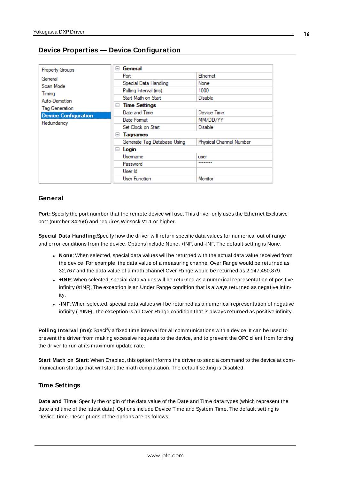<span id="page-15-0"></span>

| <b>Property Groups</b>      | General<br>$=$              |                         |
|-----------------------------|-----------------------------|-------------------------|
| General                     | Port                        | Ethemet                 |
| Scan Mode                   | Special Data Handling       | None                    |
| Timing                      | Polling Interval (ms)       | 1000                    |
| Auto-Demotion               | Start Math on Start         | <b>Disable</b>          |
| Tag Generation              | <b>Time Settings</b><br>$=$ |                         |
| <b>Device Configuration</b> | Date and Time               | Device Time             |
| Redundancy                  | Date Format                 | MM/DD/YY                |
|                             | Set Clock on Start          | Disable                 |
|                             | <b>Tagnames</b><br>$=$      |                         |
|                             | Generate Tag Database Using | Physical Channel Number |
|                             | Login<br>$-$                |                         |
|                             | Usemame                     | user                    |
|                             | Password                    | ********                |
|                             | User Id                     |                         |
|                             | <b>User Function</b>        | Monitor                 |

#### **General**

**Port:** Specify the port number that the remote device will use. This driver only uses the Ethernet Exclusive port (number 34260) and requires Winsock V1.1 or higher.

**Special Data Handling**:Specify how the driver will return specific data values for numerical out of range and error conditions from the device. Options include None, +INF, and -INF. The default setting is None.

- <sup>l</sup> **None**: When selected, special data values will be returned with the actual data value received from the device. For example, the data value of a measuring channel Over Range would be returned as 32,767 and the data value of a math channel Over Range would be returned as 2,147,450,879.
- **+INF**: When selected, special data values will be returned as a numerical representation of positive infinity (#INF). The exception is an Under Range condition that is always returned as negative infinity.
- **INF**: When selected, special data values will be returned as a numerical representation of negative infinity (-#INF). The exception is an Over Range condition that is always returned as positive infinity.

**Polling Interval (ms)**: Specify a fixed time interval for all communications with a device. It can be used to prevent the driver from making excessive requests to the device, and to prevent the OPC client from forcing the driver to run at its maximum update rate.

**Start Math on Start**: When Enabled, this option informs the driver to send a command to the device at communication startup that will start the math computation. The default setting is Disabled.

# **Time Settings**

**Date and Time**: Specify the origin of the data value of the Date and Time data types (which represent the date and time of the latest data). Options include Device Time and System Time. The default setting is Device Time. Descriptions of the options are as follows: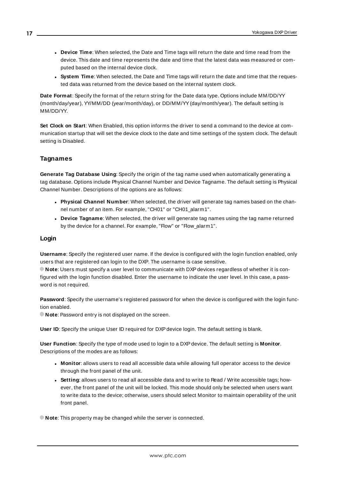- <sup>l</sup> **Device Time**: When selected, the Date and Time tags will return the date and time read from the device. This date and time represents the date and time that the latest data was measured or computed based on the internal device clock.
- **.** System Time: When selected, the Date and Time tags will return the date and time that the requested data was returned from the device based on the internal system clock.

**Date Format**: Specify the format of the return string for the Date data type. Options include MM/DD/YY (month/day/year), YY/MM/DD (year/month/day), or DD/MM/YY(day/month/year). The default setting is MM/DD/YY.

**Set Clock on Start**: When Enabled, this option informs the driver to send a command to the device at communication startup that will set the device clock to the date and time settings of the system clock. The default setting is Disabled.

# **Tagnames**

**Generate Tag Database Using**: Specify the origin of the tag name used when automatically generating a tag database. Options include Physical Channel Number and Device Tagname. The default setting is Physical Channel Number. Descriptions of the options are as follows:

- <sup>l</sup> **Physical Channel Number**: When selected, the driver will generate tag names based on the channel number of an item. For example, "CH01" or "CH01\_alarm1".
- **.** Device Tagname: When selected, the driver will generate tag names using the tag name returned by the device for a channel. For example, "Flow" or "Flow\_alarm1".

#### **Login**

**Username**: Specify the registered user name. If the device is configured with the login function enabled, only users that are registered can login to the DXP. The username is case sensitive.

**Note:** Users must specify a user level to communicate with DXP devices regardless of whether it is configured with the login function disabled. Enter the username to indicate the user level. In this case, a password is not required.

**Password**: Specify the username's registered password for when the device is configured with the login function enabled.

**Note:** Password entry is not displayed on the screen.

**User ID**: Specify the unique User ID required for DXPdevice login. The default setting is blank.

**User Function**: Specify the type of mode used to login to a DXPdevice. The default setting is **Monitor**. Descriptions of the modes are as follows:

- **Monitor**: allows users to read all accessible data while allowing full operator access to the device through the front panel of the unit.
- **Setting**: allows users to read all accessible data and to write to Read / Write accessible tags; however, the front panel of the unit will be locked. This mode should only be selected when users want to write data to the device; otherwise, users should select Monitor to maintain operability of the unit front panel.

**Note:** This property may be changed while the server is connected.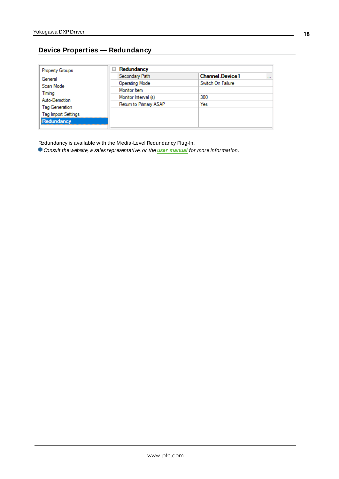# <span id="page-17-0"></span>**Device Properties — Redundancy**

| <b>Property Groups</b>     | Redundancy<br>$=$      |                                    |
|----------------------------|------------------------|------------------------------------|
| General                    | Secondary Path         | <b>Channel Device1</b><br>$\cdots$ |
| Scan Mode                  | Operating Mode         | Switch On Failure                  |
| Timing                     | Monitor Item           |                                    |
| Auto-Demotion              | Monitor Interval (s)   | 300                                |
| Tag Generation             | Return to Primary ASAP | Yes                                |
| <b>Tag Import Settings</b> |                        |                                    |
|                            |                        |                                    |
| Redundancy                 |                        |                                    |

Redundancy is available with the Media-Level Redundancy Plug-In.

Consult the website, a sales representative, or the **user [manual](https://www.kepware.com/getattachment/35461efd-b53a-4219-a109-a89fad20b230/media-level-redundancy-manual.pdf)** for more information.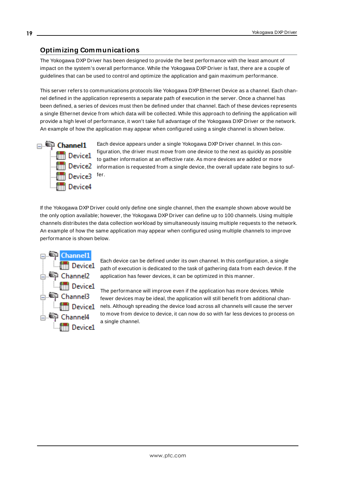# <span id="page-18-0"></span>**Optimizing Communications**

The Yokogawa DXP Driver has been designed to provide the best performance with the least amount of impact on the system's overall performance. While the Yokogawa DXP Driver is fast, there are a couple of guidelines that can be used to control and optimize the application and gain maximum performance.

This server refers to communications protocols like Yokogawa DXP Ethernet Device as a channel. Each channel defined in the application represents a separate path of execution in the server. Once a channel has been defined, a series of devices must then be defined under that channel. Each of these devices represents a single Ethernet device from which data will be collected. While this approach to defining the application will provide a high level of performance, it won't take full advantage of the Yokogawa DXP Driver or the network. An example of how the application may appear when configured using a single channel is shown below.



Each device appears under a single Yokogawa DXP Driver channel. In this configuration, the driver must move from one device to the next as quickly as possible to gather information at an effective rate. As more devices are added or more **information** is requested from a single device, the overall update rate begins to suffer.

If the Yokogawa DXP Driver could only define one single channel, then the example shown above would be the only option available; however, the Yokogawa DXP Driver can define up to 100 channels. Using multiple channels distributes the data collection workload by simultaneously issuing multiple requests to the network. An example of how the same application may appear when configured using multiple channels to improve performance is shown below.



Each device can be defined under its own channel. In this configuration, a single path of execution is dedicated to the task of gathering data from each device. If the application has fewer devices, it can be optimized in this manner.

The performance will improve even if the application has more devices. While fewer devices may be ideal, the application will still benefit from additional channels. Although spreading the device load across all channels will cause the server to move from device to device, it can now do so with far less devices to process on a single channel.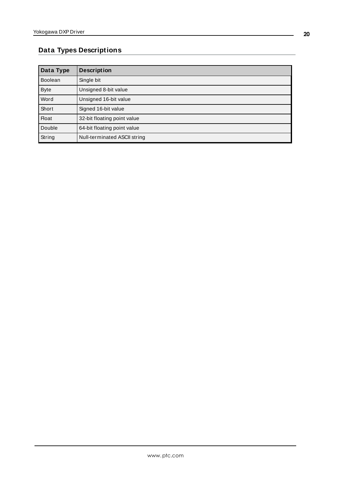# <span id="page-19-0"></span>**Data Types Descriptions**

<span id="page-19-4"></span><span id="page-19-3"></span><span id="page-19-2"></span><span id="page-19-1"></span>

| Data Type      | <b>Description</b>           |
|----------------|------------------------------|
| <b>Boolean</b> | Single bit                   |
| <b>Byte</b>    | Unsigned 8-bit value         |
| Word           | Unsigned 16-bit value        |
| Short          | Signed 16-bit value          |
| <b>Float</b>   | 32-bit floating point value  |
| Double         | 64-bit floating point value  |
| String         | Null-terminated ASCII string |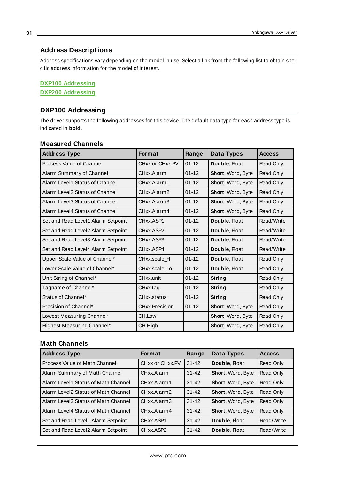## <span id="page-20-0"></span>**Address Descriptions**

Address specifications vary depending on the model in use. Select a link from the following list to obtain specific address information for the model of interest.

#### **DXP100 [Addressing](#page-20-1)**

<span id="page-20-1"></span>**DXP200 [Addressing](#page-22-0)**

# **DXP100 Addressing**

The driver supports the following addresses for this device. The default data type for each address type is indicated in **bold**.

| <b>Address Type</b>                | <b>Format</b>                      | Range     | Data Types               | <b>Access</b>    |
|------------------------------------|------------------------------------|-----------|--------------------------|------------------|
| Process Value of Channel           | CHxx or CHxx.PV                    | $01 - 12$ | Double, Float            | Read Only        |
| Alarm Summary of Channel           | CHxx Alarm                         | $01 - 12$ | <b>Short, Word, Byte</b> | <b>Read Only</b> |
| Alarm Level1 Status of Channel     | CHxx.Alarm1                        | $01 - 12$ | <b>Short, Word, Byte</b> | Read Only        |
| Alarm Level2 Status of Channel     | CHxx.Alarm2                        | $01 - 12$ | <b>Short, Word, Byte</b> | Read Only        |
| Alarm Level3 Status of Channel     | CHxx.Alarm3                        | $01 - 12$ | <b>Short, Word, Byte</b> | Read Only        |
| Alarm Level4 Status of Channel     | CHxx Alarm4                        | $01 - 12$ | Short, Word, Byte        | Read Only        |
| Set and Read Level1 Alarm Setpoint | CHxx.ASP1                          | $01 - 12$ | Double, Float            | Read/Write       |
| Set and Read Level2 Alarm Setpoint | CH <sub>xx</sub> .ASP <sub>2</sub> | $01 - 12$ | Double, Float            | Read/Write       |
| Set and Read Level3 Alarm Setpoint | CHxx.ASP3                          | $01 - 12$ | Double, Float            | Read/Write       |
| Set and Read Level4 Alarm Setpoint | CHxx.ASP4                          | $01 - 12$ | Double, Float            | Read/Write       |
| Upper Scale Value of Channel*      | CHxx.scale Hi                      | $01 - 12$ | Double, Float            | Read Only        |
| Lower Scale Value of Channel*      | CHxx.scale Lo                      | $01 - 12$ | Double, Float            | Read Only        |
| Unit String of Channel*            | CHxx.unit                          | $01 - 12$ | String                   | Read Only        |
| Tagname of Channel*                | CHxx.tag                           | $01 - 12$ | String                   | Read Only        |
| Status of Channel*                 | CHxx.status                        | $01 - 12$ | String                   | Read Only        |
| Precision of Channel*              | CHxx.Precision                     | $01 - 12$ | Short, Word, Byte        | Read Only        |
| Lowest Measuring Channel*          | CH.Low                             |           | Short, Word, Byte        | Read Only        |
| Highest Measuring Channel*         | CH.High                            |           | Short, Word, Byte        | Read Only        |

#### **Measured Channels**

# **Math Channels**

| <b>Address Type</b>                 | <b>Format</b>                      | Range     | Data Types               | <b>Access</b> |
|-------------------------------------|------------------------------------|-----------|--------------------------|---------------|
| Process Value of Math Channel       | CHxx or CHxx.PV                    | $31 - 42$ | Double, Float            | Read Only     |
| Alarm Summary of Math Channel       | CHxx Alarm                         | $31 - 42$ | Short, Word, Byte        | Read Only     |
| Alarm Level1 Status of Math Channel | CHxx Alarm1                        | $31 - 42$ | <b>Short, Word, Byte</b> | Read Only     |
| Alarm Level2 Status of Math Channel | CHxx.Alarm2                        | $31 - 42$ | Short, Word, Byte        | Read Only     |
| Alarm Level3 Status of Math Channel | CHxx.Alarm3                        | $31 - 42$ | <b>Short, Word, Byte</b> | Read Only     |
| Alarm Level4 Status of Math Channel | CHxx.Alarm4                        | $31 - 42$ | Short, Word, Byte        | Read Only     |
| Set and Read Level1 Alarm Setpoint  | CHxx ASP1                          | $31 - 42$ | Double, Float            | Read/Write    |
| Set and Read Level2 Alarm Setpoint  | CH <sub>xx</sub> .ASP <sub>2</sub> | $31 - 42$ | Double, Float            | Read/Write    |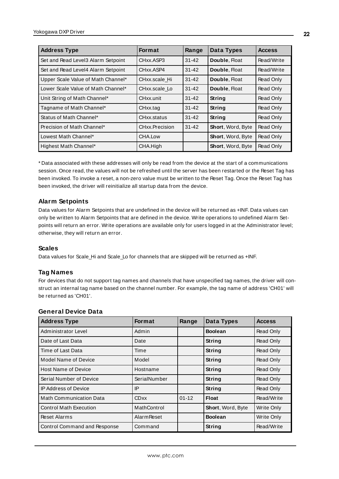| <b>Address Type</b>                | <b>Format</b>  | Range     | Data Types               | <b>Access</b> |
|------------------------------------|----------------|-----------|--------------------------|---------------|
| Set and Read Level3 Alarm Setpoint | CHxx.ASP3      | $31 - 42$ | Double, Float            | Read/Write    |
| Set and Read Level4 Alarm Setpoint | CHxx ASP4      | $31 - 42$ | Double, Float            | Read/Write    |
| Upper Scale Value of Math Channel* | CHxx.scale Hi  | $31 - 42$ | Double, Float            | Read Only     |
| Lower Scale Value of Math Channel* | CHxx.scale Lo  | $31 - 42$ | Double, Float            | Read Only     |
| Unit String of Math Channel*       | CHxx.unit      | $31 - 42$ | <b>String</b>            | Read Only     |
| Tagname of Math Channel*           | CHxx.tag       | $31 - 42$ | <b>String</b>            | Read Only     |
| Status of Math Channel*            | CHxx.status    | $31 - 42$ | <b>String</b>            | Read Only     |
| Precision of Math Channel*         | CHxx.Precision | $31 - 42$ | Short, Word, Byte        | Read Only     |
| Lowest Math Channel*               | CHA.Low        |           | Short, Word, Byte        | Read Only     |
| Highest Math Channel*              | CHA.High       |           | <b>Short, Word, Byte</b> | Read Only     |

\* Data associated with these addresses will only be read from the device at the start of a communications session. Once read, the values will not be refreshed until the server has been restarted or the Reset Tag has been invoked. To invoke a reset, a non-zero value must be written to the Reset Tag. Once the Reset Tag has been invoked, the driver will reinitialize all startup data from the device.

#### **Alarm Setpoints**

Data values for Alarm Setpoints that are undefined in the device will be returned as +INF. Data values can only be written to Alarm Setpoints that are defined in the device. Write operations to undefined Alarm Setpoints will return an error. Write operations are available only for users logged in at the Administrator level; otherwise, they will return an error.

#### **Scales**

Data values for Scale\_Hi and Scale\_Lo for channels that are skipped will be returned as +INF.

#### **Tag Names**

For devices that do not support tag names and channels that have unspecified tag names, the driver will construct an internal tag name based on the channel number. For example, the tag name of address 'CH01' will be returned as 'CH01'.

| <b>Address Type</b>                 | <b>Format</b>      | Range     | Data Types        | <b>Access</b>     |
|-------------------------------------|--------------------|-----------|-------------------|-------------------|
| Administrator Level                 | Admin              |           | <b>Boolean</b>    | Read Only         |
| Date of Last Data                   | Date               |           | String            | Read Only         |
| Time of Last Data                   | Time               |           | String            | Read Only         |
| Model Name of Device                | Model              |           | String            | Read Only         |
| <b>Host Name of Device</b>          | Hostname           |           | String            | Read Only         |
| Serial Number of Device             | SerialNumber       |           | String            | Read Only         |
| <b>IP Address of Device</b>         | IP                 |           | String            | Read Only         |
| <b>Math Communication Data</b>      | <b>CDxx</b>        | $01 - 12$ | <b>Float</b>      | Read/Write        |
| <b>Control Math Execution</b>       | MathControl        |           | Short, Word, Byte | <b>Write Only</b> |
| Reset Alarms                        | <b>Alarm Reset</b> |           | <b>Boolean</b>    | Write Only        |
| <b>Control Command and Response</b> | Command            |           | String            | Read/Write        |

#### **General Device Data**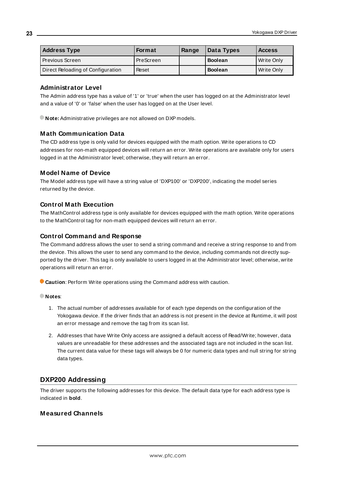| <b>Address Type</b>               | <b>Format</b> | Range | Data Types     | <b>Access</b> |
|-----------------------------------|---------------|-------|----------------|---------------|
| Previous Screen                   | PreScreen     |       | <b>Boolean</b> | Write Only    |
| Direct Reloading of Configuration | Reset         |       | <b>Boolean</b> | Write Only    |

#### **Administrator Level**

The Admin address type has a value of '1' or 'true' when the user has logged on at the Administrator level and a value of '0' or 'false' when the user has logged on at the User level.

**Note:** Administrative privileges are not allowed on DXP models.

# **Math Communication Data**

The CD address type is only valid for devices equipped with the math option. Write operations to CD addresses for non-math equipped devices will return an error. Write operations are available only for users logged in at the Administrator level; otherwise, they will return an error.

#### **Model Name of Device**

The Model address type will have a string value of 'DXP100' or 'DXP200', indicating the model series returned by the device.

#### **Control Math Execution**

The MathControl address type is only available for devices equipped with the math option. Write operations to the MathControl tag for non-math equipped devices will return an error.

#### **Control Command and Response**

The Command address allows the user to send a string command and receive a string response to and from the device. This allows the user to send any command to the device, including commands not directly supported by the driver. This tag is only available to users logged in at the Administrator level; otherwise, write operations will return an error.

**Caution**: Perform Write operations using the Command address with caution.

- 1. The actual number of addresses available for of each type depends on the configuration of the Yokogawa device. If the driver finds that an address is not present in the device at Runtime, it will post an error message and remove the tag from its scan list.
- 2. Addresses that have Write Only access are assigned a default access of Read/Write; however, data values are unreadable for these addresses and the associated tags are not included in the scan list. The current data value for these tags will always be 0 for numeric data types and null string for string data types.

# <span id="page-22-0"></span>**DXP200 Addressing**

The driver supports the following addresses for this device. The default data type for each address type is indicated in **bold**.

# **Measured Channels**

**23**

**Notes**: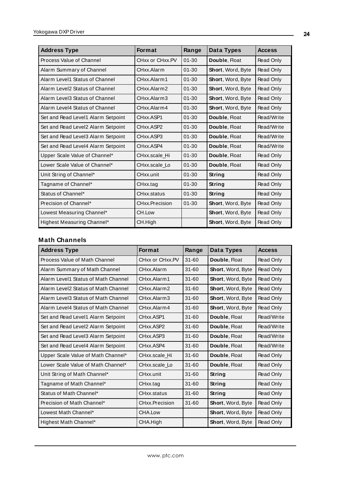| <b>Address Type</b>                | <b>Format</b>   | Range     | Data Types               | <b>Access</b> |
|------------------------------------|-----------------|-----------|--------------------------|---------------|
| Process Value of Channel           | CHxx or CHxx.PV | $01 - 30$ | Double, Float            | Read Only     |
| Alarm Summary of Channel           | CHxx.Alarm      | $01 - 30$ | Short, Word, Byte        | Read Only     |
| Alarm Level1 Status of Channel     | CHxx.Alarm1     | $01 - 30$ | Short, Word, Byte        | Read Only     |
| Alarm Level2 Status of Channel     | CHxx.Alarm2     | $01 - 30$ | <b>Short, Word, Byte</b> | Read Only     |
| Alarm Level3 Status of Channel     | CHxx.Alarm3     | $01 - 30$ | Short, Word, Byte        | Read Only     |
| Alarm Level4 Status of Channel     | CHxx Alarm4     | $01 - 30$ | Short, Word, Byte        | Read Only     |
| Set and Read Level1 Alarm Setpoint | CHxx.ASP1       | $01 - 30$ | Double, Float            | Read/Write    |
| Set and Read Level2 Alarm Setpoint | CHxx.ASP2       | $01 - 30$ | Double, Float            | Read/Write    |
| Set and Read Level3 Alarm Setpoint | CHxx.ASP3       | $01 - 30$ | Double, Float            | Read/Write    |
| Set and Read Level4 Alarm Setpoint | CHxx.ASP4       | $01 - 30$ | Double, Float            | Read/Write    |
| Upper Scale Value of Channel*      | CHxx.scale Hi   | $01 - 30$ | Double, Float            | Read Only     |
| Lower Scale Value of Channel*      | CHxx.scale Lo   | $01 - 30$ | Double, Float            | Read Only     |
| Unit String of Channel*            | CHxx.unit       | $01 - 30$ | String                   | Read Only     |
| Tagname of Channel*                | CHxx.tag        | $01 - 30$ | String                   | Read Only     |
| Status of Channel*                 | CHxx.status     | $01 - 30$ | String                   | Read Only     |
| Precision of Channel*              | CHxx.Precision  | $01 - 30$ | Short, Word, Byte        | Read Only     |
| Lowest Measuring Channel*          | CH.Low          |           | Short, Word, Byte        | Read Only     |
| Highest Measuring Channel*         | CH.High         |           | Short, Word, Byte        | Read Only     |

# **Math Channels**

| <b>Address Type</b>                 | <b>Format</b>   | Range     | Data Types               | <b>Access</b> |
|-------------------------------------|-----------------|-----------|--------------------------|---------------|
| Process Value of Math Channel       | CHxx or CHxx.PV | $31 - 60$ | Double, Float            | Read Only     |
| Alarm Summary of Math Channel       | CHxx Alarm      | $31 - 60$ | <b>Short, Word, Byte</b> | Read Only     |
| Alarm Level1 Status of Math Channel | CHxx.Alarm1     | $31 - 60$ | <b>Short, Word, Byte</b> | Read Only     |
| Alarm Level2 Status of Math Channel | CHxx.Alarm2     | $31 - 60$ | <b>Short, Word, Byte</b> | Read Only     |
| Alarm Level3 Status of Math Channel | CHxx.Alarm3     | $31 - 60$ | Short, Word, Byte        | Read Only     |
| Alarm Level4 Status of Math Channel | CHxx.Alarm4     | $31 - 60$ | <b>Short, Word, Byte</b> | Read Only     |
| Set and Read Level1 Alarm Setpoint  | CHxx.ASP1       | $31 - 60$ | Double, Float            | Read/Write    |
| Set and Read Level2 Alarm Setpoint  | CHxx ASP2       | $31 - 60$ | Double, Float            | Read/Write    |
| Set and Read Level3 Alarm Setpoint  | CHxx.ASP3       | $31 - 60$ | Double, Float            | Read/Write    |
| Set and Read Level4 Alarm Setpoint  | CHxx.ASP4       | $31 - 60$ | Double, Float            | Read/Write    |
| Upper Scale Value of Math Channel*  | CHxx.scale Hi   | $31 - 60$ | Double, Float            | Read Only     |
| Lower Scale Value of Math Channel*  | CHxx.scale Lo   | $31 - 60$ | Double, Float            | Read Only     |
| Unit String of Math Channel*        | CHxx.unit       | $31 - 60$ | String                   | Read Only     |
| Tagname of Math Channel*            | CHxx.tag        | $31 - 60$ | String                   | Read Only     |
| Status of Math Channel*             | CHxx.status     | $31 - 60$ | <b>String</b>            | Read Only     |
| Precision of Math Channel*          | CHxx.Precision  | $31 - 60$ | <b>Short, Word, Byte</b> | Read Only     |
| Lowest Math Channel*                | CHA.Low         |           | Short, Word, Byte        | Read Only     |
| Highest Math Channel*               | CHA.High        |           | Short, Word, Byte        | Read Only     |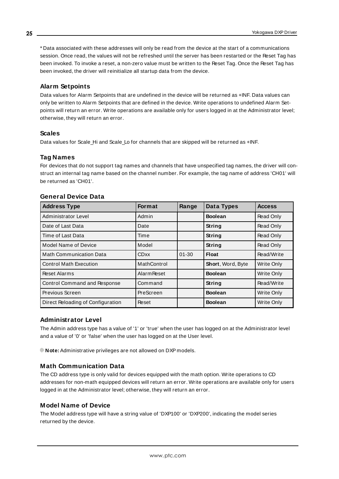\* Data associated with these addresses will only be read from the device at the start of a communications session. Once read, the values will not be refreshed until the server has been restarted or the Reset Tag has been invoked. To invoke a reset, a non-zero value must be written to the Reset Tag. Once the Reset Tag has been invoked, the driver will reinitialize all startup data from the device.

# **Alarm Setpoints**

Data values for Alarm Setpoints that are undefined in the device will be returned as +INF. Data values can only be written to Alarm Setpoints that are defined in the device. Write operations to undefined Alarm Setpoints will return an error. Write operations are available only for users logged in at the Administrator level; otherwise, they will return an error.

# **Scales**

Data values for Scale Hi and Scale Lo for channels that are skipped will be returned as +INF.

# **Tag Names**

For devices that do not support tag names and channels that have unspecified tag names, the driver will construct an internal tag name based on the channel number. For example, the tag name of address 'CH01' will be returned as 'CH01'.

| <b>Address Type</b>                 | <b>Format</b>      | Range     | Data Types        | <b>Access</b>     |
|-------------------------------------|--------------------|-----------|-------------------|-------------------|
| Administrator Level                 | Admin              |           | <b>Boolean</b>    | Read Only         |
| Date of Last Data                   | Date               |           | String            | Read Only         |
| Time of Last Data                   | Time               |           | <b>String</b>     | Read Only         |
| Model Name of Device                | Model              |           | <b>String</b>     | Read Only         |
| <b>Math Communication Data</b>      | <b>CDxx</b>        | $01 - 30$ | Float             | Read/Write        |
| <b>Control Math Execution</b>       | MathControl        |           | Short, Word, Byte | <b>Write Only</b> |
| Reset Alarms                        | <b>Alarm Reset</b> |           | <b>Boolean</b>    | Write Only        |
| <b>Control Command and Response</b> | Command            |           | String            | Read/Write        |
| Previous Screen                     | PreScreen          |           | <b>Boolean</b>    | <b>Write Only</b> |
| Direct Reloading of Configuration   | Reset              |           | <b>Boolean</b>    | Write Only        |

#### **General Device Data**

#### **Administrator Level**

The Admin address type has a value of '1' or 'true' when the user has logged on at the Administrator level and a value of '0' or 'false' when the user has logged on at the User level.

**Note:** Administrative privileges are not allowed on DXP models.

# **Math Communication Data**

The CD address type is only valid for devices equipped with the math option. Write operations to CD addresses for non-math equipped devices will return an error. Write operations are available only for users logged in at the Administrator level; otherwise, they will return an error.

#### **Model Name of Device**

The Model address type will have a string value of 'DXP100' or 'DXP200', indicating the model series returned by the device.

**25**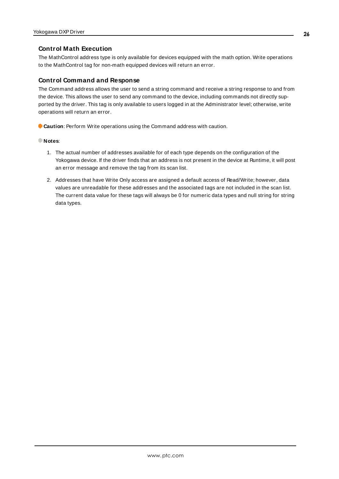## **Control Math Execution**

The MathControl address type is only available for devices equipped with the math option. Write operations to the MathControl tag for non-math equipped devices will return an error.

#### **Control Command and Response**

The Command address allows the user to send a string command and receive a string response to and from the device. This allows the user to send any command to the device, including commands not directly supported by the driver. This tag is only available to users logged in at the Administrator level; otherwise, write operations will return an error.

**Caution**: Perform Write operations using the Command address with caution.

- **Notes**:
	- 1. The actual number of addresses available for of each type depends on the configuration of the Yokogawa device. If the driver finds that an address is not present in the device at Runtime, it will post an error message and remove the tag from its scan list.
	- 2. Addresses that have Write Only access are assigned a default access of Read/Write; however, data values are unreadable for these addresses and the associated tags are not included in the scan list. The current data value for these tags will always be 0 for numeric data types and null string for string data types.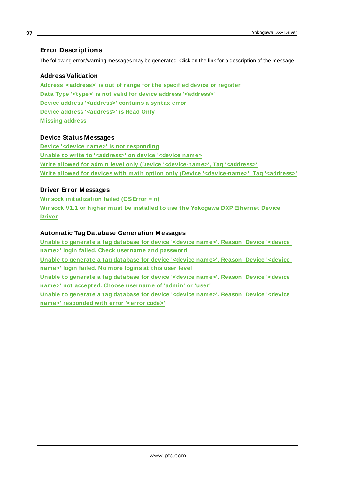# <span id="page-26-0"></span>**Error Descriptions**

The following error/warning messages may be generated. Click on the link for a description of the message.

#### **Address Validation**

**Address ['<address>'](#page-27-0) is out of range for the specified device or register Data Type '<type>' is not valid for device address ['<address>'](#page-27-1) Device address ['<address>'](#page-27-2) contains a syntax error Device address ['<address>'](#page-27-3) is Read Only [M issing](#page-27-4) address**

#### **Device Status Messages**

**Device '<device name>' is not [responding](#page-28-0) Unable to write to ['<address>'](#page-28-1) on device '<device name> Write allowed for admin level only (Device ['<device-name>',](#page-29-0) Tag '<address>' Write allowed for devices with math option only (Device ['<device-name>',](#page-29-1) Tag '<address>'**

## **Driver Error Messages**

**Winsock [initialization](#page-29-2) failed (OSError = n) Winsock V1.1 or higher must be installed to use the [Yokogawa](#page-29-3) DXP Ethernet Device [Driver](#page-29-3)**

#### **Automatic Tag Database Generation Messages**

**Unable to [generate](#page-30-0) a tag database for device '<device name>'. Reason: Device '<device name>' login failed. Check [username](#page-30-0) and password Unable to [generate](#page-30-1) a tag database for device '<device name>'. Reason: Device '<device [name>'](#page-30-1) login failed. No more logins at this user level Unable to [generate](#page-30-2) a tag database for device '<device name>'. Reason: Device '<device name>' not accepted. Choose [username](#page-30-2) of 'admin' or 'user' Unable to [generate](#page-31-0) a tag database for device '<device name>'. Reason: Device '<device name>' [responded](#page-31-0) with error '<error code>'**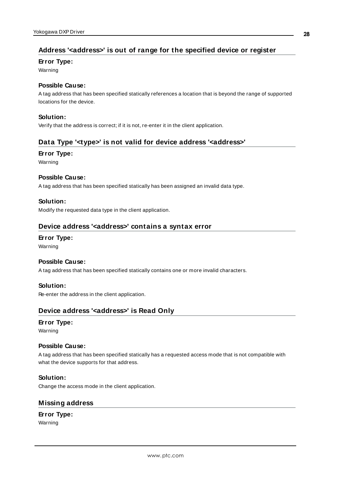# <span id="page-27-0"></span>**Address '<address>' is out of range for the specified device or register**

#### **Error Type:**

Warning

## **Possible Cause:**

A tag address that has been specified statically references a location that is beyond the range of supported locations for the device.

#### **Solution:**

<span id="page-27-1"></span>Verify that the address is correct; if it is not, re-enter it in the client application.

# **Data Type '<type>' is not valid for device address '<address>'**

#### **Error Type:**

Warning

#### **Possible Cause:**

A tag address that has been specified statically has been assigned an invalid data type.

#### **Solution:**

<span id="page-27-2"></span>Modify the requested data type in the client application.

# **Device address '<address>' contains a syntax error**

## **Error Type:**

Warning

#### **Possible Cause:**

A tag address that has been specified statically contains one or more invalid characters.

#### **Solution:**

<span id="page-27-3"></span>Re-enter the address in the client application.

# **Device address '<address>' is Read Only**

#### **Error Type:**

Warning

#### **Possible Cause:**

A tag address that has been specified statically has a requested access mode that is not compatible with what the device supports for that address.

#### **Solution:**

<span id="page-27-4"></span>Change the access mode in the client application.

# **Missing address**

# **Error Type:**

Warning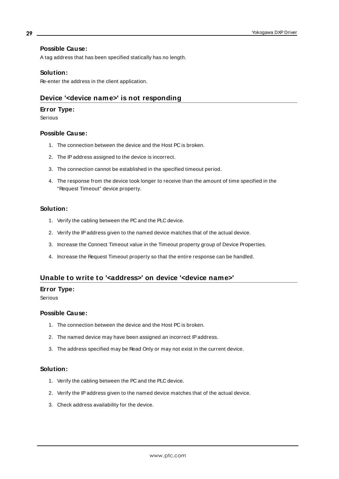#### **Possible Cause:**

A tag address that has been specified statically has no length.

#### **Solution:**

<span id="page-28-0"></span>Re-enter the address in the client application.

# **Device '<device name>' is not responding**

#### **Error Type:**

Serious

#### **Possible Cause:**

- 1. The connection between the device and the Host PC is broken.
- 2. The IPaddress assigned to the device is incorrect.
- 3. The connection cannot be established in the specified timeout period.
- 4. The response from the device took longer to receive than the amount of time specified in the "Request Timeout" device property.

#### **Solution:**

- 1. Verify the cabling between the PC and the PLC device.
- 2. Verify the IPaddress given to the named device matches that of the actual device.
- 3. Increase the Connect Timeout value in the Timeout property group of Device Properties.
- 4. Increase the Request Timeout property so that the entire response can be handled.

# <span id="page-28-1"></span>**Unable to write to '<address>' on device '<device name>'**

#### **Error Type:**

Serious

# **Possible Cause:**

- 1. The connection between the device and the Host PC is broken.
- 2. The named device may have been assigned an incorrect IPaddress.
- 3. The address specified may be Read Only or may not exist in the current device.

#### **Solution:**

- 1. Verify the cabling between the PC and the PLC device.
- 2. Verify the IPaddress given to the named device matches that of the actual device.
- 3. Check address availability for the device.

**29**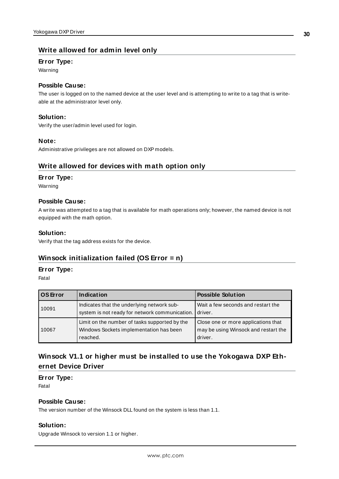# <span id="page-29-0"></span>**Write allowed for admin level only**

#### **Error Type:**

Warning

# **Possible Cause:**

The user is logged on to the named device at the user level and is attempting to write to a tag that is writeable at the administrator level only.

#### **Solution:**

Verify the user/admin level used for login.

#### **Note:**

<span id="page-29-1"></span>Administrative privileges are not allowed on DXP models.

# **Write allowed for devices with math option only**

#### **Error Type:**

Warning

#### **Possible Cause:**

A write was attempted to a tag that is available for math operations only; however, the named device is not equipped with the math option.

#### **Solution:**

<span id="page-29-2"></span>Verify that the tag address exists for the device.

# **Winsock initialization failed (OS Error = n)**

#### **Error Type:**

Fatal

| OS Error | Indication                                                                                           | <b>Possible Solution</b>                                                               |
|----------|------------------------------------------------------------------------------------------------------|----------------------------------------------------------------------------------------|
| 10091    | Indicates that the underlying network sub-<br>system is not ready for network communication.         | Wait a few seconds and restart the<br>driver.                                          |
| 10067    | Limit on the number of tasks supported by the<br>Windows Sockets implementation has been<br>reached. | Close one or more applications that<br>may be using Winsock and restart the<br>driver. |

# <span id="page-29-3"></span>**Winsock V1.1 or higher must be installed to use the Yokogawa DXP Ethernet Device Driver**

#### **Error Type:**

Fatal

# **Possible Cause:**

The version number of the Winsock DLL found on the system is less than 1.1.

#### **Solution:**

Upgrade Winsock to version 1.1 or higher.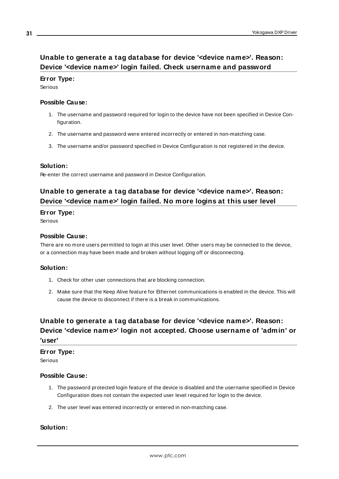# <span id="page-30-0"></span>**Unable to generate a tag database for device '<device name>'. Reason: Device '<device name>' login failed. Check username and password**

#### **Error Type:**

Serious

#### **Possible Cause:**

- 1. The username and password required for login to the device have not been specified in Device Configuration.
- 2. The username and password were entered incorrectly or entered in non-matching case.
- 3. The username and/or password specified in Device Configuration is not registered in the device.

#### **Solution:**

<span id="page-30-1"></span>Re-enter the correct username and password in Device Configuration.

# **Unable to generate a tag database for device '<device name>'. Reason: Device '<device name>' login failed. No more logins at this user level**

#### **Error Type:**

Serious

#### **Possible Cause:**

There are no more users permitted to login at this user level. Other users may be connected to the device, or a connection may have been made and broken without logging off or disconnecting.

#### **Solution:**

- 1. Check for other user connections that are blocking connection.
- 2. Make sure that the Keep Alive feature for Ethernet communications is enabled in the device. This will cause the device to disconnect if there is a break in communications.

# <span id="page-30-2"></span>**Unable to generate a tag database for device '<device name>'. Reason: Device '<device name>' login not accepted. Choose username of 'admin' or 'user'**

# **Error Type:**

Serious

#### **Possible Cause:**

- 1. The password protected login feature of the device is disabled and the username specified in Device Configuration does not contain the expected user level required for login to the device.
- 2. The user level was entered incorrectly or entered in non-matching case.

# **Solution:**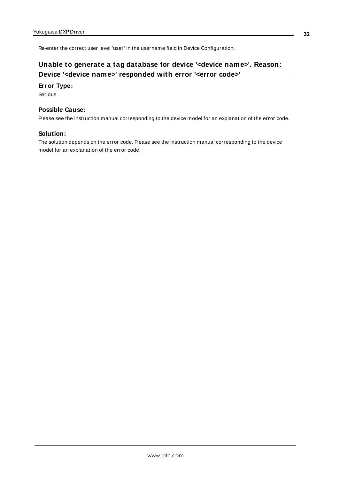<span id="page-31-0"></span>Re-enter the correct user level 'user' in the username field in Device Configuration.

# **Unable to generate a tag database for device '<device name>'. Reason: Device '<device name>' responded with error '<error code>'**

#### **Error Type:**

Serious

#### **Possible Cause:**

Please see the instruction manual corresponding to the device model for an explanation of the error code.

#### **Solution:**

The solution depends on the error code. Please see the instruction manual corresponding to the device model for an explanation of the error code.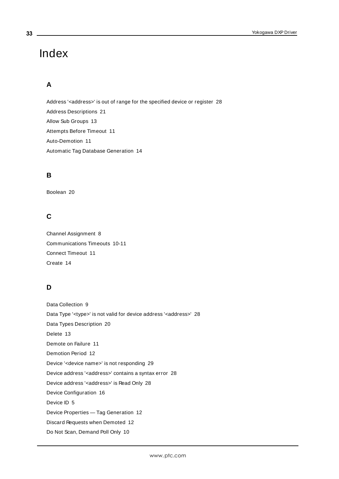# <span id="page-32-0"></span>Index

# **A**

Address '<address>' is out of range for the specified device or register [28](#page-27-0) Address Descriptions [21](#page-20-0) Allow Sub Groups [13](#page-12-0) Attempts Before Timeout [11](#page-10-1) Auto-Demotion [11](#page-10-0) Automatic Tag Database Generation [14](#page-13-0)

# **B**

Boolean [20](#page-19-1)

# **C**

Channel Assignment [8](#page-7-1) Communications Timeouts [10-11](#page-9-2) Connect Timeout [11](#page-10-2) Create [14](#page-13-1)

# **D**

Data Collection [9](#page-8-1) Data Type '<type>' is not valid for device address '<address>' [28](#page-27-1) Data Types Description [20](#page-19-0) Delete [13](#page-12-1) Demote on Failure [11](#page-10-3) Demotion Period [12](#page-11-1) Device '<device name>' is not responding [29](#page-28-0) Device address '< address>' contains a syntax error [28](#page-27-2) Device address '<address>' is Read Only [28](#page-27-3) Device Configuration [16](#page-15-0) Device ID [5](#page-4-2) Device Properties — Tag Generation [12](#page-11-0) Discard Requests when Demoted [12](#page-11-2) Do Not Scan, Demand Poll Only [10](#page-9-3)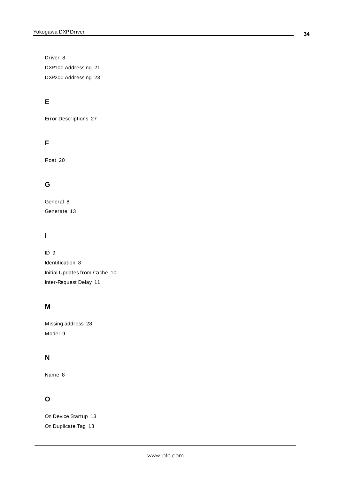Driver [8](#page-7-2) DXP100 Addressing [21](#page-20-1) DXP200 Addressing [23](#page-22-0)

# **E**

Error Descriptions [27](#page-26-0)

# **F**

Float [20](#page-19-2)

# **G**

General [8](#page-7-0) Generate [13](#page-12-2)

# **I**

ID [9](#page-8-2) Identification [8](#page-7-0) Initial Updates from Cache [10](#page-9-4) Inter-Request Delay [11](#page-10-4)

# **M**

Missing address [28](#page-27-4) Model [9](#page-8-3)

# **N**

Name [8](#page-7-3)

# **O**

On Device Startup [13](#page-12-3) On Duplicate Tag [13](#page-12-4)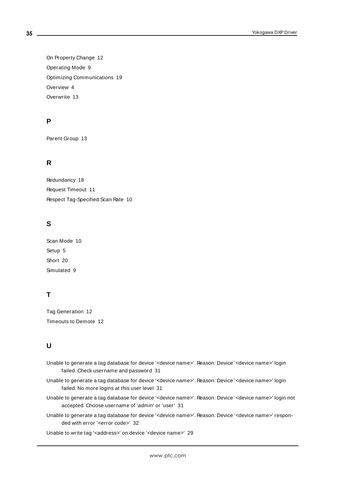On Property Change [12](#page-11-3) Operating Mode [9](#page-8-0) Optimizing Communications [19](#page-18-0) Overview [4](#page-3-1) Overwrite [13](#page-12-5)

# **P**

Parent Group [13](#page-12-6)

# **R**

Redundancy [18](#page-17-0) Request Timeout [11](#page-10-5) Respect Tag-Specified Scan Rate [10](#page-9-5)

# **S**

Scan Mode [10](#page-9-6) Setup [5](#page-4-0) Short [20](#page-19-3) Simulated [9](#page-8-4)

# **T**

Tag Generation [12](#page-11-0) Timeouts to Demote [12](#page-11-4)

# **U**

- Unable to generate a tag database for device '<device name>'. Reason: Device '<device name>' login failed. Check username and password [31](#page-30-0)
- Unable to generate a tag database for device '<device name>'. Reason: Device '<device name>' login failed. No more logins at this user level [31](#page-30-1)
- Unable to generate a tag database for device '<device name>'. Reason: Device '<device name>' login not accepted. Choose username of 'admin' or 'user' [31](#page-30-2)
- Unable to generate a tag database for device '<device name>'. Reason: Device '<device name>' responded with error '<error code>' [32](#page-31-0)

Unable to write tag '<address>' on device '<device name>' [29](#page-28-1)